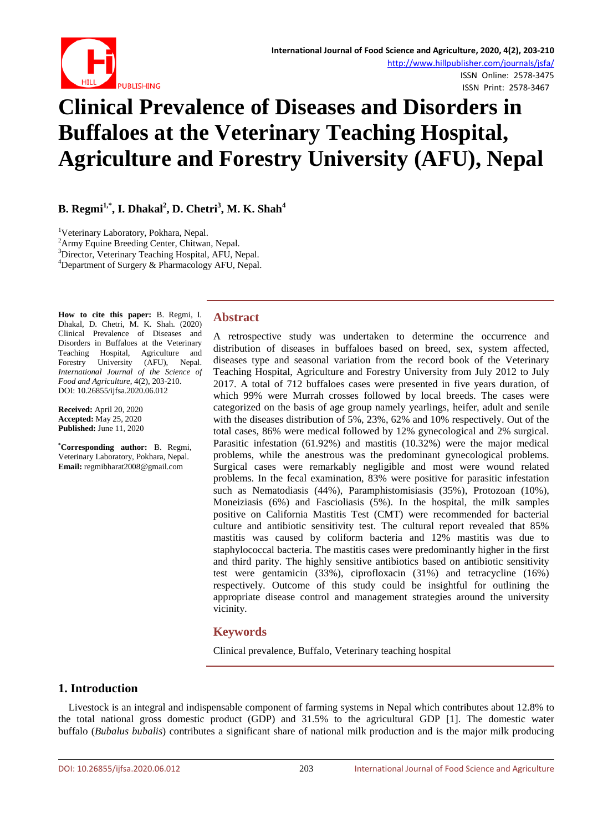

# ISSN Print: 2578-3467

# **Clinical Prevalence of Diseases and Disorders in Buffaloes at the Veterinary Teaching Hospital, Agriculture and Forestry University (AFU), Nepal**

**B. Regmi1,\* , I. Dhakal<sup>2</sup> , D. Chetri<sup>3</sup> , M. K. Shah<sup>4</sup>**

<sup>1</sup>Veterinary Laboratory, Pokhara, Nepal.<br><sup>2</sup>Army Equine Breeding Center, Chityer

<sup>2</sup> Army Equine Breeding Center, Chitwan, Nepal.

<sup>3</sup>Director, Veterinary Teaching Hospital, AFU, Nepal.

Department of Surgery & Pharmacology AFU, Nepal.

**How to cite this paper:** B. Regmi, I. Dhakal, D. Chetri, M. K. Shah. (2020) Clinical Prevalence of Diseases and Disorders in Buffaloes at the Veterinary Teaching Hospital, Agriculture and Forestry University (AFU), Nepal. *International Journal of the Science of Food and Agriculture*, 4(2), 203-210. DOI: 10.26855/ijfsa.2020.06.012

**Received:** April 20, 2020 **Accepted:** May 25, 2020 **Published:** June 11, 2020

**\* Corresponding author:** B. Regmi, Veterinary Laboratory, Pokhara, Nepal. **Email:** regmibharat2008@gmail.com

# **Abstract**

A retrospective study was undertaken to determine the occurrence and distribution of diseases in buffaloes based on breed, sex, system affected, diseases type and seasonal variation from the record book of the Veterinary Teaching Hospital, Agriculture and Forestry University from July 2012 to July 2017. A total of 712 buffaloes cases were presented in five years duration, of which 99% were Murrah crosses followed by local breeds. The cases were categorized on the basis of age group namely yearlings, heifer, adult and senile with the diseases distribution of 5%, 23%, 62% and 10% respectively. Out of the total cases, 86% were medical followed by 12% gynecological and 2% surgical. Parasitic infestation (61.92%) and mastitis (10.32%) were the major medical problems, while the anestrous was the predominant gynecological problems. Surgical cases were remarkably negligible and most were wound related problems. In the fecal examination, 83% were positive for parasitic infestation such as Nematodiasis (44%), Paramphistomisiasis (35%), Protozoan (10%), Moneiziasis (6%) and Fascioliasis (5%). In the hospital, the milk samples positive on California Mastitis Test (CMT) were recommended for bacterial culture and antibiotic sensitivity test. The cultural report revealed that 85% mastitis was caused by coliform bacteria and 12% mastitis was due to staphylococcal bacteria. The mastitis cases were predominantly higher in the first and third parity. The highly sensitive antibiotics based on antibiotic sensitivity test were gentamicin (33%), ciprofloxacin (31%) and tetracycline (16%) respectively. Outcome of this study could be insightful for outlining the appropriate disease control and management strategies around the university vicinity.

# **Keywords**

Clinical prevalence, Buffalo, Veterinary teaching hospital

# **1. Introduction**

Livestock is an integral and indispensable component of farming systems in Nepal which contributes about 12.8% to the total national gross domestic product (GDP) and 31.5% to the agricultural GDP [1]. The domestic water buffalo (*Bubalus bubalis*) contributes a significant share of national milk production and is the major milk producing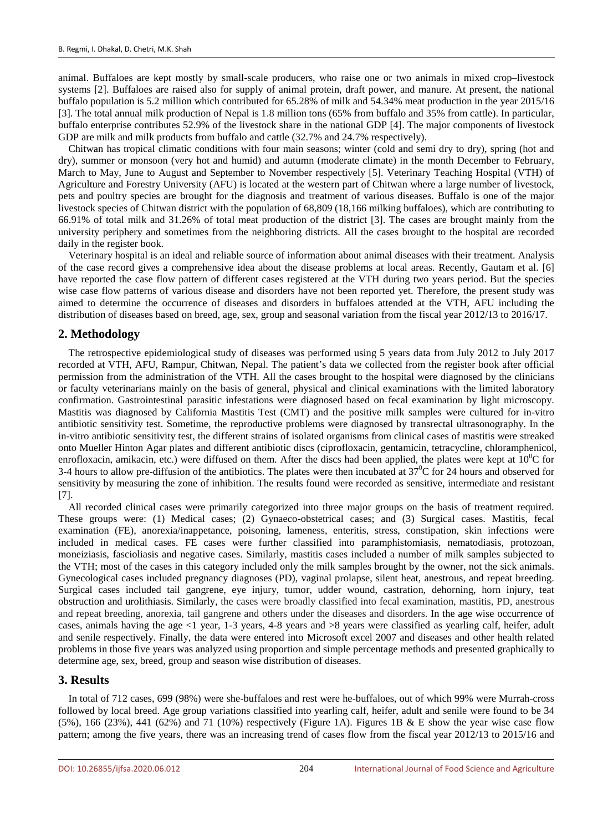animal. Buffaloes are kept mostly by small-scale producers, who raise one or two animals in mixed crop–livestock systems [2]. Buffaloes are raised also for supply of animal protein, draft power, and manure. At present, the national buffalo population is 5.2 million which contributed for 65.28% of milk and 54.34% meat production in the year 2015/16 [3]. The total annual milk production of Nepal is 1.8 million tons (65% from buffalo and 35% from cattle). In particular, buffalo enterprise contributes 52.9% of the livestock share in the national GDP [4]. The major components of livestock GDP are milk and milk products from buffalo and cattle (32.7% and 24.7% respectively).

Chitwan has tropical climatic conditions with four main seasons; winter (cold and semi dry to dry), spring (hot and dry), summer or monsoon (very hot and humid) and autumn (moderate climate) in the month December to February, March to May, June to August and September to November respectively [5]. Veterinary Teaching Hospital (VTH) of Agriculture and Forestry University (AFU) is located at the western part of Chitwan where a large number of livestock, pets and poultry species are brought for the diagnosis and treatment of various diseases. Buffalo is one of the major livestock species of Chitwan district with the population of 68,809 (18,166 milking buffaloes), which are contributing to 66.91% of total milk and 31.26% of total meat production of the district [3]. The cases are brought mainly from the university periphery and sometimes from the neighboring districts. All the cases brought to the hospital are recorded daily in the register book.

Veterinary hospital is an ideal and reliable source of information about animal diseases with their treatment. Analysis of the case record gives a comprehensive idea about the disease problems at local areas. Recently, Gautam et al. [6] have reported the case flow pattern of different cases registered at the VTH during two years period. But the species wise case flow patterns of various disease and disorders have not been reported yet. Therefore, the present study was aimed to determine the occurrence of diseases and disorders in buffaloes attended at the VTH, AFU including the distribution of diseases based on breed, age, sex, group and seasonal variation from the fiscal year 2012/13 to 2016/17.

# **2. Methodology**

The retrospective epidemiological study of diseases was performed using 5 years data from July 2012 to July 2017 recorded at VTH, AFU, Rampur, Chitwan, Nepal. The patient's data we collected from the register book after official permission from the administration of the VTH. All the cases brought to the hospital were diagnosed by the clinicians or faculty veterinarians mainly on the basis of general, physical and clinical examinations with the limited laboratory confirmation. Gastrointestinal parasitic infestations were diagnosed based on fecal examination by light microscopy. Mastitis was diagnosed by California Mastitis Test (CMT) and the positive milk samples were cultured for in-vitro antibiotic sensitivity test. Sometime, the reproductive problems were diagnosed by transrectal ultrasonography. In the in-vitro antibiotic sensitivity test, the different strains of isolated organisms from clinical cases of mastitis were streaked onto Mueller Hinton Agar plates and different antibiotic discs (ciprofloxacin, gentamicin, tetracycline, chloramphenicol, enrofloxacin, amikacin, etc.) were diffused on them. After the discs had been applied, the plates were kept at  $10^{0}C$  for 3-4 hours to allow pre-diffusion of the antibiotics. The plates were then incubated at  $37^{\circ}$ C for 24 hours and observed for sensitivity by measuring the zone of inhibition. The results found were recorded as sensitive, intermediate and resistant [7].

All recorded clinical cases were primarily categorized into three major groups on the basis of treatment required. These groups were: (1) Medical cases; (2) Gynaeco-obstetrical cases; and (3) Surgical cases. Mastitis, fecal examination (FE), anorexia/inappetance, poisoning, lameness, enteritis, stress, constipation, skin infections were included in medical cases. FE cases were further classified into paramphistomiasis, nematodiasis, protozoan, moneiziasis, fascioliasis and negative cases. Similarly, mastitis cases included a number of milk samples subjected to the VTH; most of the cases in this category included only the milk samples brought by the owner, not the sick animals. Gynecological cases included pregnancy diagnoses (PD), vaginal prolapse, silent heat, anestrous, and repeat breeding. Surgical cases included tail gangrene, eye injury, tumor, udder wound, castration, dehorning, horn injury, teat obstruction and urolithiasis. Similarly, the cases were broadly classified into fecal examination, mastitis, PD, anestrous and repeat breeding, anorexia, tail gangrene and others under the diseases and disorders. In the age wise occurrence of cases, animals having the age <1 year, 1-3 years, 4-8 years and >8 years were classified as yearling calf, heifer, adult and senile respectively. Finally, the data were entered into Microsoft excel 2007 and diseases and other health related problems in those five years was analyzed using proportion and simple percentage methods and presented graphically to determine age, sex, breed, group and season wise distribution of diseases.

#### **3. Results**

In total of 712 cases, 699 (98%) were she-buffaloes and rest were he-buffaloes, out of which 99% were Murrah-cross followed by local breed. Age group variations classified into yearling calf, heifer, adult and senile were found to be 34 (5%), 166 (23%), 441 (62%) and 71 (10%) respectively (Figure 1A). Figures 1B & E show the year wise case flow pattern; among the five years, there was an increasing trend of cases flow from the fiscal year 2012/13 to 2015/16 and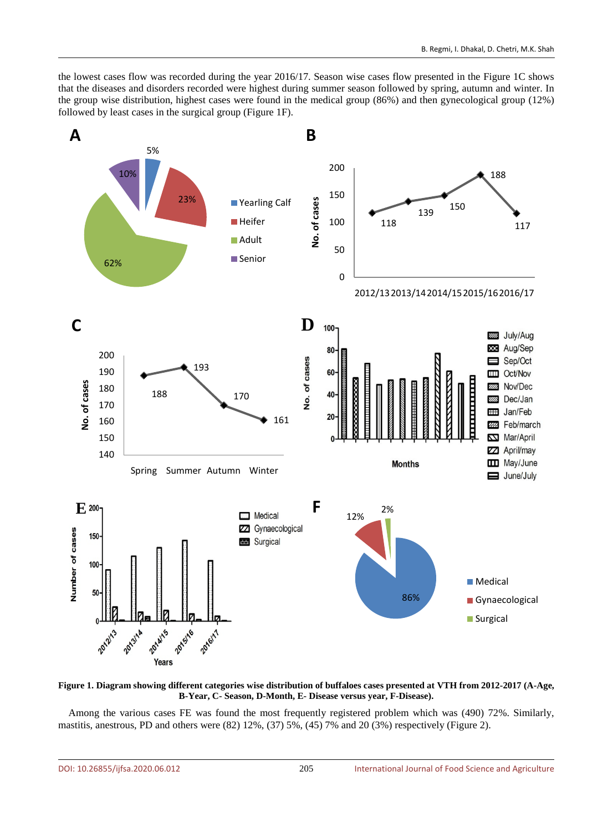the lowest cases flow was recorded during the year 2016/17. Season wise cases flow presented in the Figure 1C shows that the diseases and disorders recorded were highest during summer season followed by spring, autumn and winter. In the group wise distribution, highest cases were found in the medical group (86%) and then gynecological group (12%) followed by least cases in the surgical group (Figure 1F).



**Figure 1. Diagram showing different categories wise distribution of buffaloes cases presented at VTH from 2012-2017 (A-Age, B-Year, C- Season, D-Month, E- Disease versus year, F-Disease).**

Among the various cases FE was found the most frequently registered problem which was (490) 72%. Similarly, mastitis, anestrous, PD and others were (82) 12%, (37) 5%, (45) 7% and 20 (3%) respectively (Figure 2).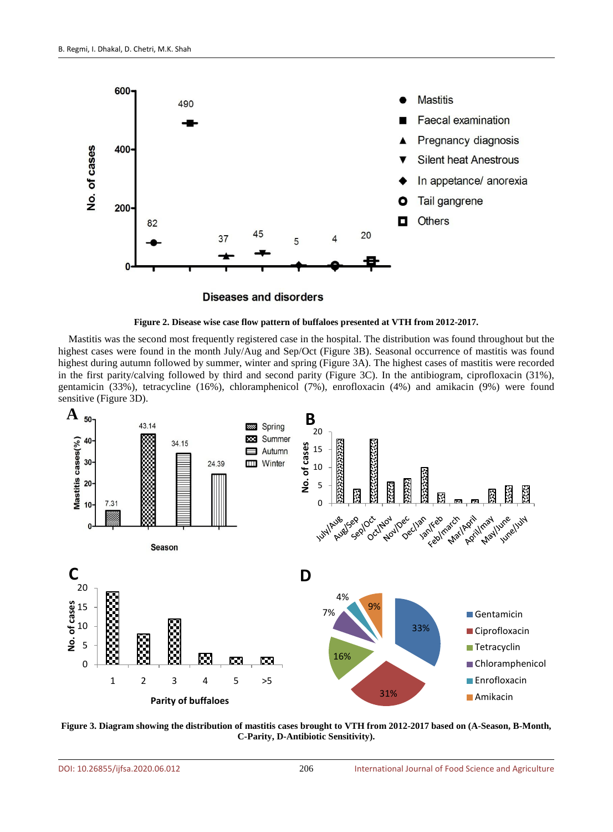





Mastitis was the second most frequently registered case in the hospital. The distribution was found throughout but the highest cases were found in the month July/Aug and Sep/Oct (Figure 3B). Seasonal occurrence of mastitis was found highest during autumn followed by summer, winter and spring (Figure 3A). The highest cases of mastitis were recorded in the first parity/calving followed by third and second parity (Figure 3C). In the antibiogram, ciprofloxacin (31%), gentamicin (33%), tetracycline (16%), chloramphenicol (7%), enrofloxacin (4%) and amikacin (9%) were found sensitive (Figure 3D).



**Figure 3. Diagram showing the distribution of mastitis cases brought to VTH from 2012-2017 based on (A-Season, B-Month, C-Parity, D-Antibiotic Sensitivity).**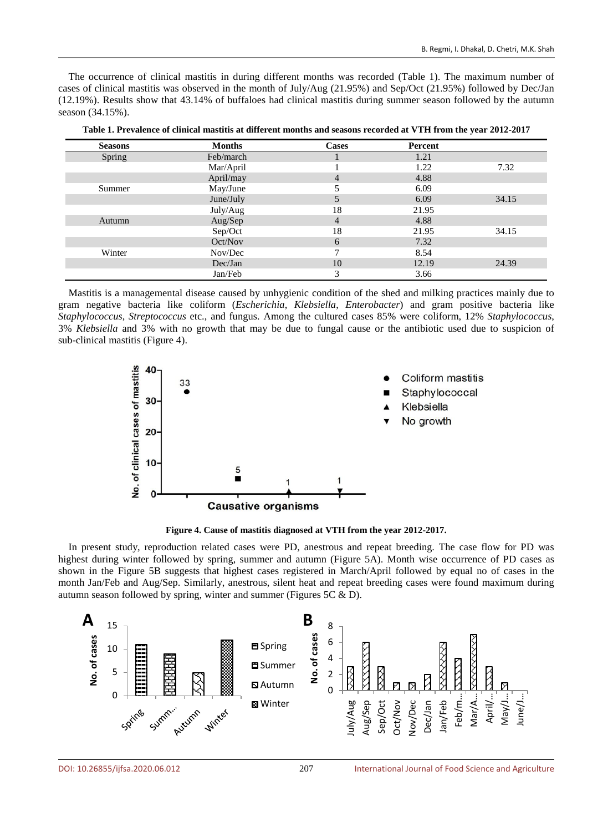The occurrence of clinical mastitis in during different months was recorded (Table 1). The maximum number of cases of clinical mastitis was observed in the month of July/Aug (21.95%) and Sep/Oct (21.95%) followed by Dec/Jan (12.19%). Results show that 43.14% of buffaloes had clinical mastitis during summer season followed by the autumn season (34.15%).

| <b>Seasons</b> | <b>Months</b> | <b>Cases</b> | Percent |       |
|----------------|---------------|--------------|---------|-------|
|                |               |              |         |       |
| Spring         | Feb/march     |              | 1.21    |       |
|                | Mar/April     |              | 1.22    | 7.32  |
|                | April/may     | 4            | 4.88    |       |
| Summer         | May/June      |              | 6.09    |       |
|                | June/July     | 5            | 6.09    | 34.15 |
|                | July/Aug      | 18           | 21.95   |       |
| Autumn         | Aug/Sep       | 4            | 4.88    |       |
|                | Sep/Oct       | 18           | 21.95   | 34.15 |
|                | Oct/Nov       | 6            | 7.32    |       |
| Winter         | Nov/Dec       | 7            | 8.54    |       |
|                | Dec/Jan       | 10           | 12.19   | 24.39 |
|                | Jan/Feb       | 3            | 3.66    |       |

**Table 1. Prevalence of clinical mastitis at different months and seasons recorded at VTH from the year 2012-2017**

Mastitis is a managemental disease caused by unhygienic condition of the shed and milking practices mainly due to gram negative bacteria like coliform (*Escherichia*, *Klebsiella*, *Enterobacter*) and gram positive bacteria like *Staphylococcus*, *Streptococcus* etc., and fungus. Among the cultured cases 85% were coliform, 12% *Staphylococcus*, 3% *Klebsiella* and 3% with no growth that may be due to fungal cause or the antibiotic used due to suspicion of sub-clinical mastitis (Figure 4).



**Figure 4. Cause of mastitis diagnosed at VTH from the year 2012-2017.**

In present study, reproduction related cases were PD, anestrous and repeat breeding. The case flow for PD was highest during winter followed by spring, summer and autumn (Figure 5A). Month wise occurrence of PD cases as shown in the Figure 5B suggests that highest cases registered in March/April followed by equal no of cases in the month Jan/Feb and Aug/Sep. Similarly, anestrous, silent heat and repeat breeding cases were found maximum during autumn season followed by spring, winter and summer (Figures 5C & D).

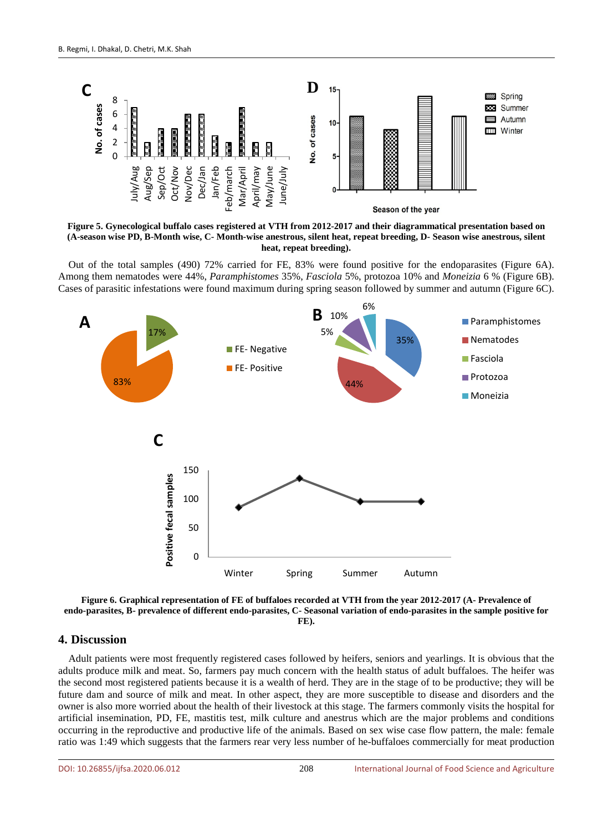

**Figure 5. Gynecological buffalo cases registered at VTH from 2012-2017 and their diagrammatical presentation based on (A-season wise PD, B-Month wise, C- Month-wise anestrous, silent heat, repeat breeding, D- Season wise anestrous, silent heat, repeat breeding).**

Out of the total samples (490) 72% carried for FE, 83% were found positive for the endoparasites (Figure 6A). Among them nematodes were 44%, *Paramphistomes* 35%, *Fasciola* 5%, protozoa 10% and *Moneizia* 6 % (Figure 6B). Cases of parasitic infestations were found maximum during spring season followed by summer and autumn (Figure 6C).





#### **4. Discussion**

Adult patients were most frequently registered cases followed by heifers, seniors and yearlings. It is obvious that the adults produce milk and meat. So, farmers pay much concern with the health status of adult buffaloes. The heifer was the second most registered patients because it is a wealth of herd. They are in the stage of to be productive; they will be future dam and source of milk and meat. In other aspect, they are more susceptible to disease and disorders and the owner is also more worried about the health of their livestock at this stage. The farmers commonly visits the hospital for artificial insemination, PD, FE, mastitis test, milk culture and anestrus which are the major problems and conditions occurring in the reproductive and productive life of the animals. Based on sex wise case flow pattern, the male: female ratio was 1:49 which suggests that the farmers rear very less number of he-buffaloes commercially for meat production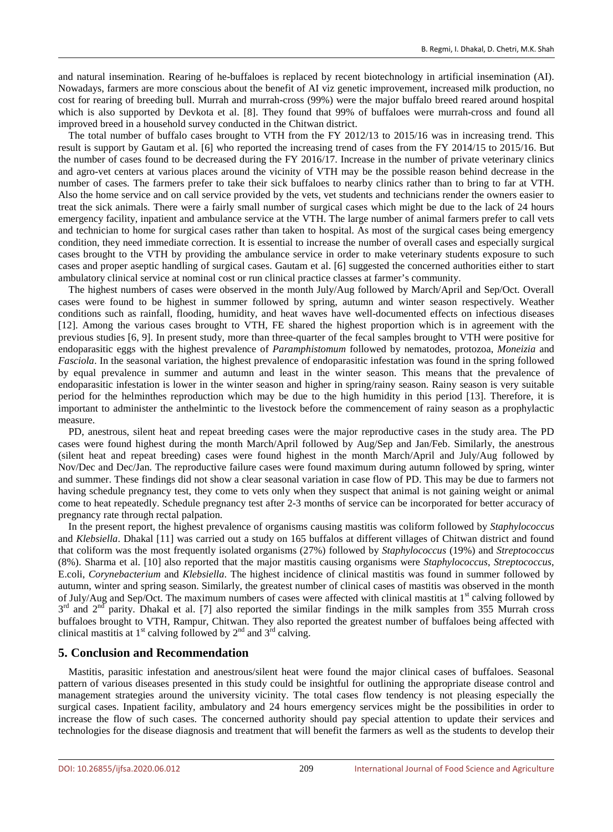and natural insemination. Rearing of he-buffaloes is replaced by recent biotechnology in artificial insemination (AI). Nowadays, farmers are more conscious about the benefit of AI viz genetic improvement, increased milk production, no cost for rearing of breeding bull. Murrah and murrah-cross (99%) were the major buffalo breed reared around hospital which is also supported by Devkota et al. [8]. They found that 99% of buffaloes were murrah-cross and found all improved breed in a household survey conducted in the Chitwan district.

The total number of buffalo cases brought to VTH from the FY 2012/13 to 2015/16 was in increasing trend. This result is support by Gautam et al. [6] who reported the increasing trend of cases from the FY 2014/15 to 2015/16. But the number of cases found to be decreased during the FY 2016/17. Increase in the number of private veterinary clinics and agro-vet centers at various places around the vicinity of VTH may be the possible reason behind decrease in the number of cases. The farmers prefer to take their sick buffaloes to nearby clinics rather than to bring to far at VTH. Also the home service and on call service provided by the vets, vet students and technicians render the owners easier to treat the sick animals. There were a fairly small number of surgical cases which might be due to the lack of 24 hours emergency facility, inpatient and ambulance service at the VTH. The large number of animal farmers prefer to call vets and technician to home for surgical cases rather than taken to hospital. As most of the surgical cases being emergency condition, they need immediate correction. It is essential to increase the number of overall cases and especially surgical cases brought to the VTH by providing the ambulance service in order to make veterinary students exposure to such cases and proper aseptic handling of surgical cases. Gautam et al. [6] suggested the concerned authorities either to start ambulatory clinical service at nominal cost or run clinical practice classes at farmer's community.

The highest numbers of cases were observed in the month July/Aug followed by March/April and Sep/Oct. Overall cases were found to be highest in summer followed by spring, autumn and winter season respectively. Weather conditions such as rainfall, flooding, humidity, and heat waves have well-documented effects on infectious diseases [12]. Among the various cases brought to VTH, FE shared the highest proportion which is in agreement with the previous studies [6, 9]. In present study, more than three-quarter of the fecal samples brought to VTH were positive for endoparasitic eggs with the highest prevalence of *Paramphistomum* followed by nematodes, protozoa, *Moneizia* and *Fasciola*. In the seasonal variation, the highest prevalence of endoparasitic infestation was found in the spring followed by equal prevalence in summer and autumn and least in the winter season. This means that the prevalence of endoparasitic infestation is lower in the winter season and higher in spring/rainy season. Rainy season is very suitable period for the helminthes reproduction which may be due to the high humidity in this period [13]. Therefore, it is important to administer the anthelmintic to the livestock before the commencement of rainy season as a prophylactic measure.

PD, anestrous, silent heat and repeat breeding cases were the major reproductive cases in the study area. The PD cases were found highest during the month March/April followed by Aug/Sep and Jan/Feb. Similarly, the anestrous (silent heat and repeat breeding) cases were found highest in the month March/April and July/Aug followed by Nov/Dec and Dec/Jan. The reproductive failure cases were found maximum during autumn followed by spring, winter and summer. These findings did not show a clear seasonal variation in case flow of PD. This may be due to farmers not having schedule pregnancy test, they come to vets only when they suspect that animal is not gaining weight or animal come to heat repeatedly. Schedule pregnancy test after 2-3 months of service can be incorporated for better accuracy of pregnancy rate through rectal palpation.

In the present report, the highest prevalence of organisms causing mastitis was coliform followed by *Staphylococcus* and *Klebsiella*. Dhakal [11] was carried out a study on 165 buffalos at different villages of Chitwan district and found that coliform was the most frequently isolated organisms (27%) followed by *Staphylococcus* (19%) and *Streptococcus* (8%). Sharma et al. [10] also reported that the major mastitis causing organisms were *Staphylococcus*, *Streptococcus*, E.coli, *Corynebacterium* and *Klebsiella*. The highest incidence of clinical mastitis was found in summer followed by autumn, winter and spring season. Similarly, the greatest number of clinical cases of mastitis was observed in the month of July/Aug and Sep/Oct. The maximum numbers of cases were affected with clinical mastitis at 1<sup>st</sup> calving followed by  $3<sup>rd</sup>$  and  $2<sup>nd</sup>$  parity. Dhakal et al. [7] also reported the similar findings in the milk samples from 355 Murrah cross buffaloes brought to VTH, Rampur, Chitwan. They also reported the greatest number of buffaloes being affected with clinical mastitis at  $1<sup>st</sup>$  calving followed by  $2<sup>nd</sup>$  and  $3<sup>rd</sup>$  calving.

# **5. Conclusion and Recommendation**

Mastitis, parasitic infestation and anestrous/silent heat were found the major clinical cases of buffaloes. Seasonal pattern of various diseases presented in this study could be insightful for outlining the appropriate disease control and management strategies around the university vicinity. The total cases flow tendency is not pleasing especially the surgical cases. Inpatient facility, ambulatory and 24 hours emergency services might be the possibilities in order to increase the flow of such cases. The concerned authority should pay special attention to update their services and technologies for the disease diagnosis and treatment that will benefit the farmers as well as the students to develop their